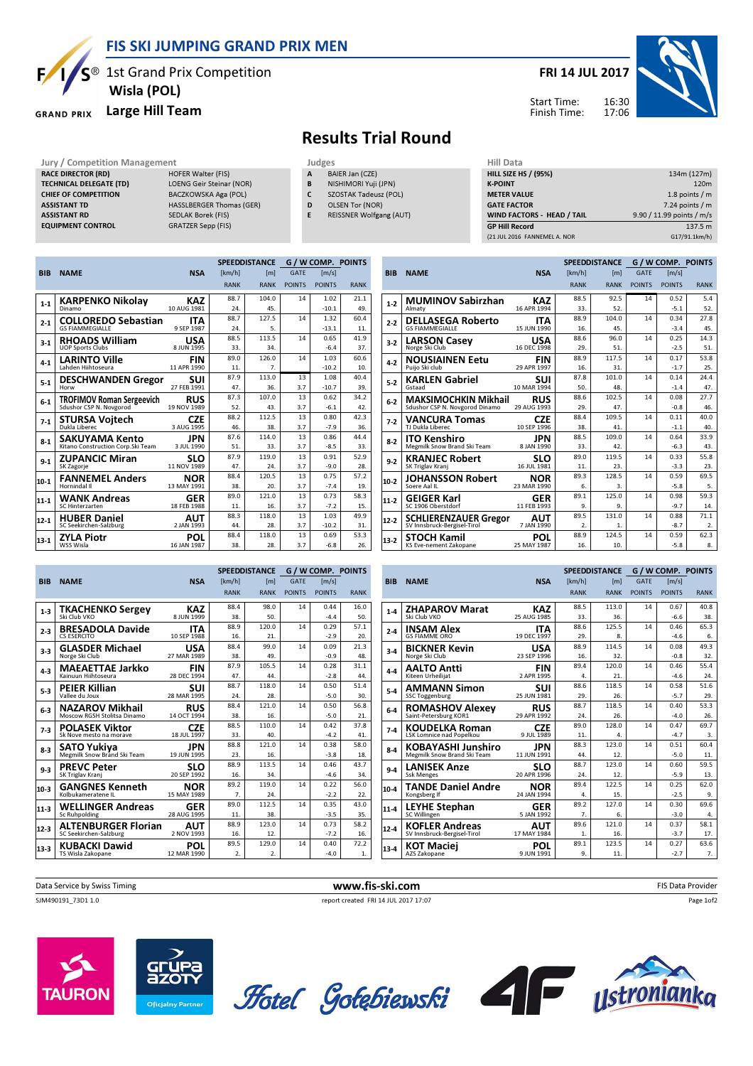FIS SKI JUMPING GRAND PRIX MEN

 $S^{\circledast}$  1st Grand Prix Competition Wisla (POL)

## **GRAND PRIX** Large Hill Team

F

## Results Trial Round

- BAIER Jan (CZE) B NISHIMORI Yuji (JPN)
- C SZOSTAK Tadeusz (POL)
- D OLSEN Tor (NOR)
- E REISSNER Wolfgang (AUT)

| Jury / Competition Management                  |                                 | Judges |                         |  | Hill Data                    |                           |  |
|------------------------------------------------|---------------------------------|--------|-------------------------|--|------------------------------|---------------------------|--|
| <b>RACE DIRECTOR (RD)</b>                      | <b>HOFER Walter (FIS)</b>       | A      | BAIER Jan (CZE)         |  | <b>HILL SIZE HS / (95%)</b>  | 134m (127m)               |  |
| <b>TECHNICAL DELEGATE (TD)</b>                 | LOENG Geir Steinar (NOR)        | B      | NISHIMORI Yuji (JPN)    |  | <b>K-POINT</b>               | 120 <sub>m</sub>          |  |
| <b>CHIEF OF COMPETITION</b>                    | BACZKOWSKA Aga (POL)            |        | SZOSTAK Tadeusz (POL)   |  | <b>METER VALUE</b>           | 1.8 points $/m$           |  |
| <b>ASSISTANT TD</b>                            | <b>HASSLBERGER Thomas (GER)</b> | D      | OLSEN Tor (NOR)         |  | <b>GATE FACTOR</b>           | $7.24$ points / m         |  |
| <b>ASSISTANT RD</b>                            | SEDLAK Borek (FIS)              |        | REISSNER Wolfgang (AUT) |  | WIND FACTORS - HEAD / TAIL   | 9.90 / 11.99 points / m/s |  |
| GRATZER Sepp (FIS)<br><b>EQUIPMENT CONTROL</b> |                                 |        |                         |  | <b>GP Hill Record</b>        | 137.5 m                   |  |
|                                                |                                 |        |                         |  | (21 JUL 2016 FANNEMEL A. NOR | G17/91.1km/h)             |  |

|            |                                   |             |             | <b>SPEEDDISTANCE</b> |               |               | <b>G/WCOMP. POINTS</b> |
|------------|-----------------------------------|-------------|-------------|----------------------|---------------|---------------|------------------------|
| <b>BIB</b> | <b>NAME</b>                       | <b>NSA</b>  | [km/h]      | [m]                  | <b>GATE</b>   | [m/s]         |                        |
|            |                                   |             | <b>RANK</b> | <b>RANK</b>          | <b>POINTS</b> | <b>POINTS</b> | <b>RANK</b>            |
| $1 - 1$    | <b>KARPENKO Nikolay</b>           | KAZ         | 88.7        | 104.0                | 14            | 1.02          | 21.1                   |
|            | Dinamo                            | 10 AUG 1981 | 24.         | 45.                  |               | $-10.1$       | 49.                    |
| $2 - 1$    | <b>COLLOREDO Sebastian</b>        | <b>ITA</b>  | 88.7        | 127.5                | 14            | 1.32          | 60.4                   |
|            | <b>GS FIAMMFGIALLE</b>            | 9 SEP 1987  | 24.         | 5.                   |               | $-13.1$       | 11.                    |
| $3 - 1$    | <b>RHOADS William</b>             | <b>USA</b>  | 88.5        | 113.5                | 14            | 0.65          | 41.9                   |
|            | <b>UOP Sports Clubs</b>           | 8 JUN 1995  | 33.         | 34.                  |               | $-6.4$        | 37.                    |
| $4 - 1$    | <b>LARINTO Ville</b>              | <b>FIN</b>  | 89.0        | 126.0                | 14            | 1.03          | 60.6                   |
|            | Lahden Hiihtoseura                | 11 APR 1990 | 11.         | 7.                   |               | $-10.2$       | 10.                    |
| $5 - 1$    | <b>DESCHWANDEN Gregor</b>         | SUI         | 87.9        | 113.0                | 13            | 1.08          | 40.4                   |
|            | Horw                              | 27 FEB 1991 | 47.         | 36.                  | 3.7           | $-10.7$       | 39.                    |
| $6-1$      | <b>TROFIMOV Roman Sergeevich</b>  | <b>RUS</b>  | 87.3        | 107.0                | 13            | 0.62          | 34.2                   |
|            | Sdushor CSP N. Novgorod           | 19 NOV 1989 | 52.         | 43.                  | 3.7           | $-6.1$        | 42.                    |
| $7-1$      | <b>STURSA Vojtech</b>             | <b>CZE</b>  | 88.2        | 112.5                | 13            | 0.80          | 42.3                   |
|            | Dukla Liberec                     | 3 AUG 1995  | 46.         | 38.                  | 3.7           | $-7.9$        | 36.                    |
| $8-1$      | <b>SAKUYAMA Kento</b>             | JPN         | 87.6        | 114.0                | 13            | 0.86          | 44.4                   |
|            | Kitano Construction Corp.Ski Team | 3 JUL 1990  | 51.         | 33.                  | 3.7           | $-8.5$        | 33.                    |
| $9 - 1$    | <b>ZUPANCIC Miran</b>             | SLO         | 87.9        | 119.0                | 13            | 0.91          | 52.9                   |
|            | SK Zagorje                        | 11 NOV 1989 | 47.         | 24.                  | 3.7           | $-9.0$        | 28.                    |
| 10-1       | <b>FANNEMEL Anders</b>            | <b>NOR</b>  | 88.4        | 120.5                | 13            | 0.75          | 57.2                   |
|            | Hornindal II                      | 13 MAY 1991 | 38.         | 20.                  | 3.7           | $-7.4$        | 19.                    |
| 11-1       | <b>WANK Andreas</b>               | GER         | 89.0        | 121.0                | 13            | 0.73          | 58.3                   |
|            | SC Hinterzarten                   | 18 FEB 1988 | 11.         | 16.                  | 3.7           | $-7.2$        | 15.                    |
| 12-1       | <b>HUBER Daniel</b>               | AUT         | 88.3        | 118.0                | 13            | 1.03          | 49.9                   |
|            | SC Seekirchen-Salzburg            | 2 JAN 1993  | 44.         | 28.                  | 3.7           | $-10.2$       | 31.                    |
| 13-1       | <b>ZYLA Piotr</b>                 | <b>POL</b>  | 88.4        | 118.0                | 13            | 0.69          | 53.3                   |
|            | WSS Wisla                         | 16 JAN 1987 | 38.         | 28.                  | 3.7           | $-6.8$        | 26.                    |

|            |                                |             |               | <b>SPEEDDISTANCE</b> |               |                       | G / W COMP. POINTS |
|------------|--------------------------------|-------------|---------------|----------------------|---------------|-----------------------|--------------------|
| <b>BIB</b> | <b>NAME</b>                    | <b>NSA</b>  | [km/h]        | [m]                  | <b>GATE</b>   | $\lfloor m/s \rfloor$ |                    |
|            |                                |             | <b>RANK</b>   | <b>RANK</b>          | <b>POINTS</b> | <b>POINTS</b>         | <b>RANK</b>        |
| $1-2$      | <b>MUMINOV Sabirzhan</b>       | <b>KAZ</b>  | 88.5          | 92.5                 | 14            | 0.52                  | 5.4                |
|            | Almaty                         | 16 APR 1994 | 33.           | 52.                  |               | $-5.1$                | 52.                |
| $2 - 2$    | <b>DELLASEGA Roberto</b>       | <b>ITA</b>  | 88.9          | 104.0                | 14            | 0.34                  | 27.8               |
|            | <b>GS FIAMMEGIALLE</b>         | 15 JUN 1990 | 16.           | 45.                  |               | $-3.4$                | 45.                |
| $3 - 2$    | <b>LARSON Casev</b>            | USA         | 88.6          | 96.0                 | 14            | 0.25                  | 14.3               |
|            | Norge Ski Club                 | 16 DEC 1998 | 29.           | 51.                  |               | $-2.5$                | 51.                |
| $4 - 2$    | <b>NOUSIAINEN Eetu</b>         | <b>FIN</b>  | 88.9          | 117.5                | 14            | 0.17                  | 53.8               |
|            | Puijo Ski club                 | 29 APR 1997 | 16.           | 31.                  |               | $-1.7$                | 25.                |
| $5-2$      | <b>KARLEN Gabriel</b>          | SUI         | 87.8          | 101.0                | 14            | 0.14                  | 24.4               |
|            | Gstaad                         | 10 MAR 1994 | 50.           | 48.                  |               | $-1.4$                | 47.                |
| $6 - 2$    | <b>MAKSIMOCHKIN Mikhail</b>    | <b>RUS</b>  | 88.6          | 102.5                | 14            | 0.08                  | 27.7               |
|            | Sdushor CSP N. Novgorod Dinamo | 29 AUG 1993 | 29.           | 47.                  |               | $-0.8$                | 46.                |
| $7-2$      | VANCURA Tomas                  | <b>CZE</b>  | 88.4          | 109.5                | 14            | 0.11                  | 40.0               |
|            | TJ Dukla Liberec               | 10 SEP 1996 | 38.           | 41.                  |               | $-1.1$                | 40.                |
| $8-2$      | <b>ITO Kenshiro</b>            | <b>JPN</b>  | 88.5          | 109.0                | 14            | 0.64                  | 33.9               |
|            | Megmilk Snow Brand Ski Team    | 8 JAN 1990  | 33.           | 42.                  |               | $-6.3$                | 43.                |
| $9 - 2$    | <b>KRANJEC Robert</b>          | SLO         | 89.0          | 119.5                | 14            | 0.33                  | 55.8               |
|            | SK Triglav Kranj               | 16 JUL 1981 | 11.           | 23.                  |               | $-3.3$                | 23.                |
| $10-2$     | JOHANSSON Robert               | <b>NOR</b>  | 89.3          | 128.5                | 14            | 0.59                  | 69.5               |
|            | Soere Aal II                   | 23 MAR 1990 | 6.            | 3.                   |               | $-5.8$                | 5.                 |
| $11-2$     | <b>GEIGER Karl</b>             | <b>GER</b>  | 89.1          | 125.0                | 14            | 0.98                  | 59.3               |
|            | SC 1906 Oberstdorf             | 11 FEB 1993 | 9.            | 9.                   |               | $-9.7$                | 14.                |
| $12-2$     | <b>SCHLIERENZAUER Gregor</b>   | <b>AUT</b>  | 89.5          | 131.0                | 14            | 0.88                  | 71.1               |
|            | SV Innsbruck-Bergisel-Tirol    | 7 JAN 1990  | $\mathcal{L}$ | 1.                   |               | $-8.7$                | 2.                 |
| $13-2$     | STOCH Kamil                    | POL         | 88.9          | 124.5                | 14            | 0.59                  | 62.3               |
|            | KS Eve-nement Zakopane         | 25 MAY 1987 | 16.           | 10.                  |               | $-5.8$                | 8.                 |

|            |                                                   |             |                | <b>SPEEDDISTANCE</b> |               |               | <b>G/WCOMP. POINTS</b> |
|------------|---------------------------------------------------|-------------|----------------|----------------------|---------------|---------------|------------------------|
| <b>BIB</b> | <b>NAME</b>                                       | <b>NSA</b>  | [km/h]         | [m]                  | <b>GATE</b>   | [m/s]         |                        |
|            |                                                   |             | <b>RANK</b>    | <b>RANK</b>          | <b>POINTS</b> | <b>POINTS</b> | <b>RANK</b>            |
| $1-3$      | <b>TKACHENKO Sergey</b>                           | KAZ         | 88.4           | 98.0                 | 14            | 0.44          | 16.0                   |
|            | Ski Club VKO                                      | 8 JUN 1999  | 38.            | 50.                  |               | $-4.4$        | 50.                    |
| $2-3$      | <b>BRESADOLA Davide</b>                           | <b>ITA</b>  | 88.9           | 120.0                | 14            | 0.29          | 57.1                   |
|            | CS ESERCITO                                       | 10 SEP 1988 | 16.            | 21.                  |               | $-2.9$        | 20.                    |
| $3-3$      | <b>GLASDER Michael</b>                            | USA         | 88.4           | 99.0                 | 14            | 0.09          | 21.3                   |
|            | Norge Ski Club                                    | 27 MAR 1989 | 38.            | 49.                  |               | $-0.9$        | 48.                    |
| $4 - 3$    | MAEAETTAE Jarkko                                  | <b>FIN</b>  | 87.9           | 105.5                | 14            | 0.28          | 31.1                   |
|            | Kainuun Hiihtoseura                               | 28 DEC 1994 | 47.            | 44.                  |               | $-2.8$        | 44.                    |
| $5-3$      | PEIER Killian                                     | SUI         | 88.7           | 118.0                | 14            | 0.50          | 51.4                   |
|            | Vallee du Joux                                    | 28 MAR 1995 | 24.            | 28.                  |               | $-5.0$        | 30.                    |
| $6-3$      | <b>NAZAROV Mikhail</b>                            | <b>RUS</b>  | 88.4           | 121.0                | 14            | 0.50          | 56.8                   |
|            | Moscow RGSH Stolitsa Dinamo                       | 14 OCT 1994 | 38.            | 16.                  |               | $-5.0$        | 21.                    |
| $7-3$      | <b>POLASEK Viktor</b>                             | <b>CZE</b>  | 88.5           | 110.0                | 14            | 0.42          | 37.8                   |
|            | Sk Nove mesto na morave                           | 18 JUL 1997 | 33.            | 40.                  |               | $-4.2$        | 41.                    |
| $8-3$      | <b>SATO Yukiya</b><br>Megmilk Snow Brand Ski Team | JPN         | 88.8           | 121.0                | 14            | 0.38          | 58.0                   |
|            |                                                   | 19 JUN 1995 | 23.            | 16.                  |               | $-3.8$        | 18.                    |
| $9 - 3$    | <b>PREVC Peter</b>                                | SLO         | 88.9           | 113.5                | 14            | 0.46          | 43.7                   |
|            | SK Triglav Kranj                                  | 20 SEP 1992 | 16.            | 34.                  |               | $-4.6$        | 34.                    |
| 10-3       | <b>GANGNES Kenneth</b>                            | <b>NOR</b>  | 89.2           | 119.0                | 14            | 0.22          | 56.0                   |
|            | Kolbukameratene IL                                | 15 MAY 1989 | 7 <sub>1</sub> | 24.                  |               | $-2.2$        | 22.                    |
| 11-3       | <b>WELLINGER Andreas</b>                          | GER         | 89.0           | 112.5                | 14            | 0.35          | 43.0                   |
|            | Sc Ruhpolding                                     | 28 AUG 1995 | 11.            | 38.                  |               | $-3.5$        | 35.                    |
| 12-3       | <b>ALTENBURGER Florian</b>                        | AUT         | 88.9           | 123.0                | 14            | 0.73          | 58.2                   |
|            | SC Seekirchen-Salzburg                            | 2 NOV 1993  | 16.            | 12.                  |               | $-7.2$        | 16.                    |
| 13-3       | KUBACKI Dawid                                     | POL         | 89.5           | 129.0                | 14            | 0.40          | 72.2                   |
|            | TS Wisla Zakopane                                 | 12 MAR 1990 | 2.             | 2.                   |               | $-4.0$        | 1.                     |

|            |                                 |             |                  | <b>SPEEDDISTANCE</b> |               | <b>G/W COMP. POINTS</b> |             |
|------------|---------------------------------|-------------|------------------|----------------------|---------------|-------------------------|-------------|
| <b>BIB</b> | <b>NAME</b>                     | <b>NSA</b>  | [km/h]           | [ <sub>m</sub> ]     | <b>GATE</b>   | [m/s]                   |             |
|            |                                 |             | <b>RANK</b>      | <b>RANK</b>          | <b>POINTS</b> | <b>POINTS</b>           | <b>RANK</b> |
| $1 - 4$    | <b>ZHAPAROV Marat</b>           | <b>KAZ</b>  | 88.5             | 113.0                | 14            | 0.67                    | 40.8        |
|            | Ski Club VKO                    | 25 AUG 1985 | 33.              | 36.                  |               | $-6.6$                  | 38.         |
| $2 - 4$    | <b>INSAM Alex</b>               | <b>ITA</b>  | 88.6             | 125.5                | 14            | 0.46                    | 65.3        |
|            | <b>GS FIAMME ORO</b>            | 19 DEC 1997 | 29.              | 8.                   |               | $-4.6$                  | 6.          |
| $3-4$      | <b>BICKNER Kevin</b>            | USA         | 88.9             | 114.5                | 14            | 0.08                    | 49.3        |
|            | Norge Ski Club                  | 23 SEP 1996 | 16.              | 32.                  |               | $-0.8$                  | 32.         |
| $4 - 4$    | <b>AALTO Antti</b>              | FIN         | 89.4             | 120.0                | 14            | 0.46                    | 55.4        |
|            | Kiteen Urheilijat               | 2 APR 1995  | 4.               | 21.                  |               | $-4.6$                  | 24.         |
| $5 - 4$    | <b>AMMANN Simon</b>             | SUI         | 88.6             | 118.5                | 14            | 0.58                    | 51.6        |
|            | <b>SSC Toggenburg</b>           | 25 JUN 1981 | 29.              | 26.                  |               | $-5.7$                  | 29.         |
| $6 - 4$    | <b>ROMASHOV Alexey</b>          | <b>RUS</b>  | 88.7             | 118.5                | 14            | 0.40                    | 53.3        |
|            | Saint-Petersburg KOR1           | 29 APR 1992 | 24.              | 26.                  |               | $-4.0$                  | 26.         |
| $7-4$      | <b>KOUDELKA Roman</b>           | <b>CZE</b>  | 89.0             | 128.0                | 14            | 0.47                    | 69.7        |
|            | <b>LSK Lomnice nad Popelkou</b> | 9 JUL 1989  | 11.              | 4.                   |               | $-4.7$                  | 3.          |
| $8 - 4$    | KOBAYASHI Junshiro              | <b>JPN</b>  | 88.3             | 123.0                | 14            | 0.51                    | 60.4        |
|            | Megmilk Snow Brand Ski Team     | 11 JUN 1991 | 44.              | 12.                  |               | $-5.0$                  | 11.         |
| $9 - 4$    | <b>LANISEK Anze</b>             | SLO         | 88.7             | 123.0                | 14            | 0.60                    | 59.5        |
|            | <b>Ssk Menges</b>               | 20 APR 1996 | 24.              | 12.                  |               | $-5.9$                  | 13.         |
| $10-4$     | <b>TANDE Daniel Andre</b>       | <b>NOR</b>  | 89.4             | 122.5                | 14            | 0.25                    | 62.0        |
|            | Kongsberg If                    | 24 JAN 1994 | 4.               | 15.                  |               | $-2.5$                  | 9.          |
| $11-4$     | <b>LEYHE Stephan</b>            | <b>GER</b>  | 89.2             | 127.0                | 14            | 0.30                    | 69.6        |
|            | SC Willingen                    | 5 JAN 1992  | $\overline{7}$ . | 6.                   |               | $-3.0$                  | 4.          |
| $12 - 4$   | <b>KOFLER Andreas</b>           | AUT         | 89.6             | 121.0                | 14            | 0.37                    | 58.1        |
|            | SV Innsbruck-Bergisel-Tirol     | 17 MAY 1984 | 1.               | 16.                  |               | $-3.7$                  | 17.         |
| $13-4$     | <b>KOT Maciej</b>               | POL         | 89.1             | 123.5                | 14            | 0.27                    | 63.6        |
|            | AZS Zakopane                    | 9 JUN 1991  | 9.               | 11.                  |               | $-2.7$                  | 7.          |



SJM490191\_73D1 1.0 report created FRI 14 JUL 2017 17:07





FRI 14 JUL 2017

Start Time: Finish Time:



Data Service by Swiss Timing **and Service of the Service of Timing www.fis-ski.com www.fis-ski.com** FIS Data Provider Page 1of2